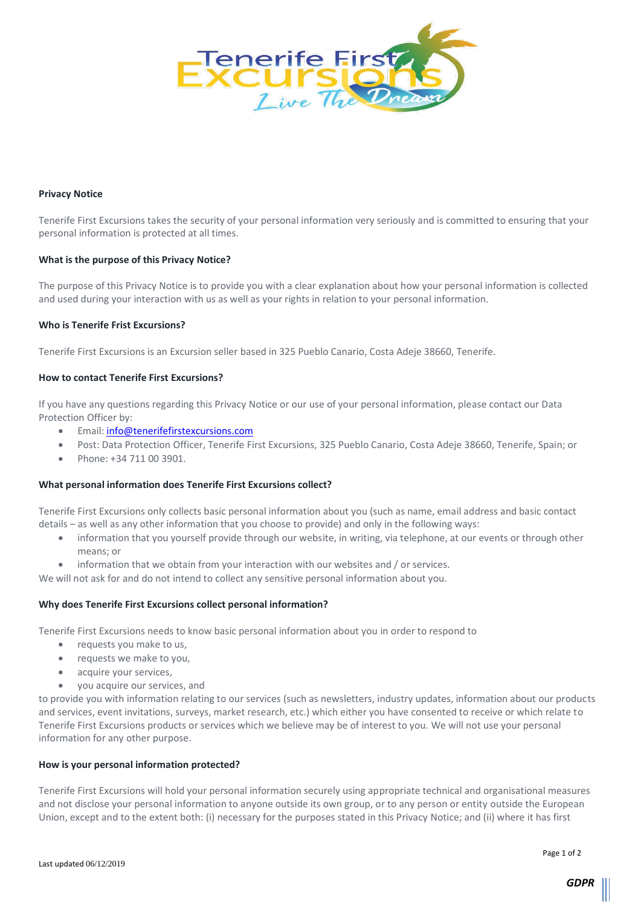

## **Privacy Notice**

Tenerife First Excursions takes the security of your personal information very seriously and is committed to ensuring that your personal information is protected at all times.

### **What is the purpose of this Privacy Notice?**

The purpose of this Privacy Notice is to provide you with a clear explanation about how your personal information is collected and used during your interaction with us as well as your rights in relation to your personal information.

# **Who is Tenerife Frist Excursions?**

Tenerife First Excursions is an Excursion seller based in 325 Pueblo Canario, Costa Adeje 38660, Tenerife.

## **How to contact Tenerife First Excursions?**

If you have any questions regarding this Privacy Notice or our use of your personal information, please contact our Data Protection Officer by:

- **•** Email: info@tenerifefirstexcursions.com
- Post: Data Protection Officer, Tenerife First Excursions, 325 Pueblo Canario, Costa Adeje 38660, Tenerife, Spain; or
- Phone: +34 711 00 3901.

## **What personal information does Tenerife First Excursions collect?**

Tenerife First Excursions only collects basic personal information about you (such as name, email address and basic contact details – as well as any other information that you choose to provide) and only in the following ways:

- information that you yourself provide through our website, in writing, via telephone, at our events or through other means; or
- information that we obtain from your interaction with our websites and / or services.

We will not ask for and do not intend to collect any sensitive personal information about you.

## **Why does Tenerife First Excursions collect personal information?**

Tenerife First Excursions needs to know basic personal information about you in order to respond to

- requests you make to us,
- requests we make to you,
- acquire your services,
- you acquire our services, and

to provide you with information relating to our services (such as newsletters, industry updates, information about our products and services, event invitations, surveys, market research, etc.) which either you have consented to receive or which relate to Tenerife First Excursions products or services which we believe may be of interest to you. We will not use your personal information for any other purpose.

#### **How is your personal information protected?**

Tenerife First Excursions will hold your personal information securely using appropriate technical and organisational measures and not disclose your personal information to anyone outside its own group, or to any person or entity outside the European Union, except and to the extent both: (i) necessary for the purposes stated in this Privacy Notice; and (ii) where it has first